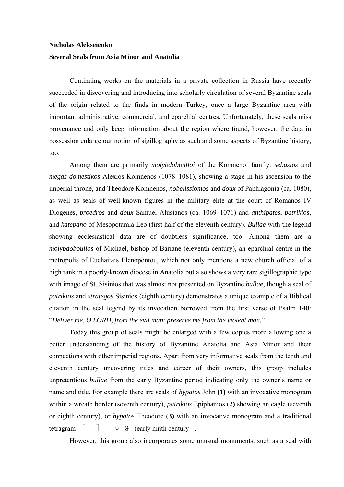## **Nicholas Alekseienko Several Seals from Asia Minor and Anatolia**

Continuing works on the materials in a private collection in Russia have recently succeeded in discovering and introducing into scholarly circulation of several Byzantine seals of the origin related to the finds in modern Turkey, once a large Byzantine area with important administrative, commercial, and eparchial centres. Unfortunately, these seals miss provenance and only keep information about the region where found, however, the data in possession enlarge our notion of sigillography as such and some aspects of Byzantine history, too.

Among them are primarily *molybdoboulloi* of the Komnenoi family: *sebastos* and *megas domestikos* Alexios Komnenos (1078–1081), showing a stage in his ascension to the imperial throne, and Theodore Komnenos, *nobelissiomos* and *doux* of Paphlagonia (ca. 1080), as well as seals of well-known figures in the military elite at the court of Romanos IV Diogenes, *proedros* and *doux* Samuel Alusianos (ca. 1069–1071) and *anthipates*, *patrikios*, and *katepano* of Mesopotamia Leo (first half of the eleventh century). *Bullae* with the legend showing ecclesiastical data are of doubtless significance, too. Among them are a *molybdoboullos* of Michael, bishop of Bariane (eleventh century), an eparchial centre in the metropolis of Euchaitais Elenopontou, which not only mentions a new church official of a high rank in a poorly-known diocese in Anatolia but also shows a very rare sigillographic type with image of St. Sisinios that was almost not presented on Byzantine *bullae*, though a seal of *patrikios* and *strategos* Sisinios (eighth century) demonstrates a unique example of a Biblical citation in the seal legend by its invocation borrowed from the first verse of Psalm 140: "*Deliver me*, *O LORD*, *from the evil man*: *preserve me from the violent man.*"

Today this group of seals might be enlarged with a few copies more allowing one a better understanding of the history of Byzantine Anatolia and Asia Minor and their connections with other imperial regions. Apart from very informative seals from the tenth and eleventh century uncovering titles and career of their owners, this group includes unpretentious *bullae* from the early Byzantine period indicating only the owner's name or name and title. For example there are seals of *hypatos* John **(1)** with an invocative monogram within a wreath border (seventh century), *patrikios* Epiphanios (**2)** showing an eagle (seventh or eighth century), or *hypatos* Theodore (**3)** with an invocative monogram and a traditional tetragram  $\begin{bmatrix} 1 & 1 \end{bmatrix}$   $\vee$  9 (early ninth century.

However, this group also incorporates some unusual monuments, such as a seal with